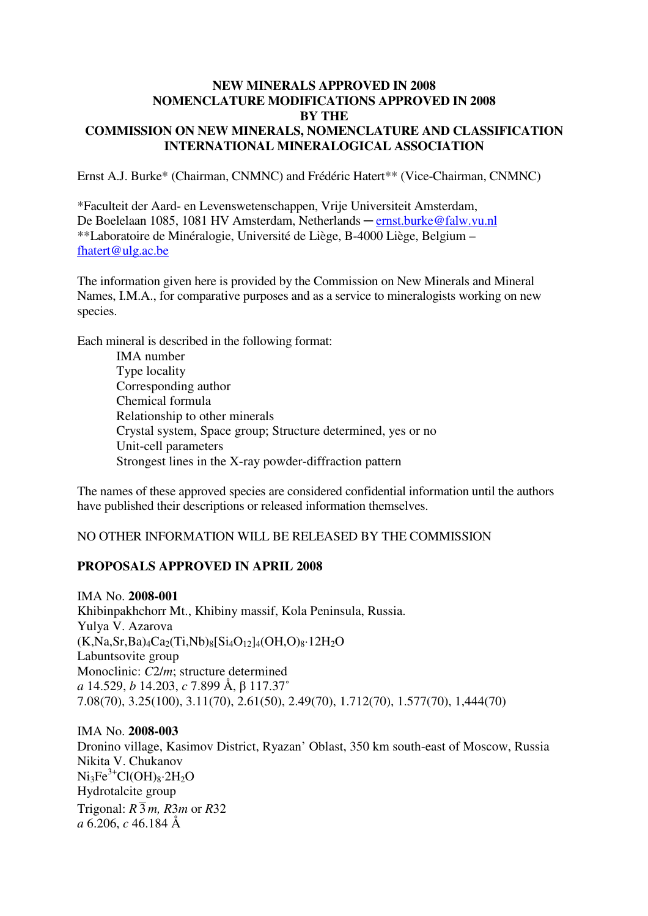### **NEW MINERALS APPROVED IN 2008 NOMENCLATURE MODIFICATIONS APPROVED IN 2008 BY THE COMMISSION ON NEW MINERALS, NOMENCLATURE AND CLASSIFICATION INTERNATIONAL MINERALOGICAL ASSOCIATION**

Ernst A.J. Burke\* (Chairman, CNMNC) and Frédéric Hatert\*\* (Vice-Chairman, CNMNC)

\*Faculteit der Aard- en Levenswetenschappen, Vrije Universiteit Amsterdam, De Boelelaan 1085, 1081 HV Amsterdam, Netherlands – ernst.burke@falw.vu.nl \*\*Laboratoire de Minéralogie, Université de Liège, B-4000 Liège, Belgium – fhatert@ulg.ac.be

The information given here is provided by the Commission on New Minerals and Mineral Names, I.M.A., for comparative purposes and as a service to mineralogists working on new species.

Each mineral is described in the following format:

 IMA number Type locality Corresponding author Chemical formula Relationship to other minerals Crystal system, Space group; Structure determined, yes or no Unit-cell parameters Strongest lines in the X-ray powder-diffraction pattern

The names of these approved species are considered confidential information until the authors have published their descriptions or released information themselves.

### NO OTHER INFORMATION WILL BE RELEASED BY THE COMMISSION

#### **PROPOSALS APPROVED IN APRIL 2008**

IMA No. **2008-001** Khibinpakhchorr Mt., Khibiny massif, Kola Peninsula, Russia. Yulya V. Azarova  $(K, Na, Sr, Ba)<sub>4</sub>Ca<sub>2</sub>(Ti, Nb)<sub>8</sub>[Si<sub>4</sub>O<sub>12</sub>]<sub>4</sub>(OH, O)<sub>8</sub>·12H<sub>2</sub>O$ Labuntsovite group Monoclinic: *C*2/*m*; structure determined *a* 14.529, *b* 14.203, *c* 7.899 Å, β 117.37˚ 7.08(70), 3.25(100), 3.11(70), 2.61(50), 2.49(70), 1.712(70), 1.577(70), 1,444(70)

#### IMA No. **2008-003**

Dronino village, Kasimov District, Ryazan' Oblast, 350 km south-east of Moscow, Russia Nikita V. Chukanov  $Ni<sub>3</sub>Fe<sup>3+</sup>Cl(OH)<sub>8</sub>·2H<sub>2</sub>O$ Hydrotalcite group Trigonal:  $R\overline{3}m$ ,  $R\overline{3}m$  or  $R\overline{3}2$ *a* 6.206, *c* 46.184 Å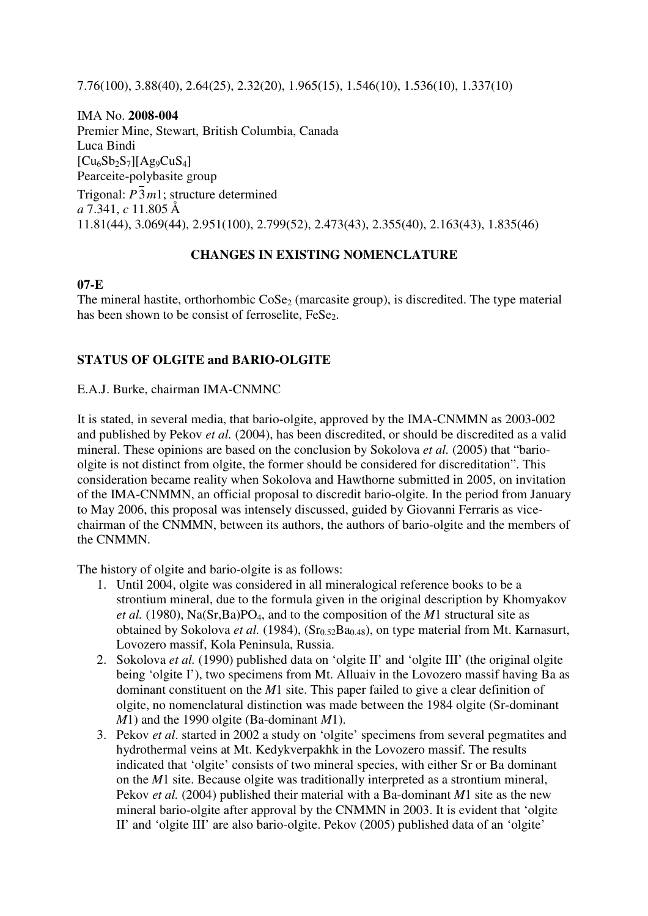7.76(100), 3.88(40), 2.64(25), 2.32(20), 1.965(15), 1.546(10), 1.536(10), 1.337(10)

IMA No. **2008-004** Premier Mine, Stewart, British Columbia, Canada Luca Bindi  $[Cu_6Sb_2S_7][Ag_9CuS_4]$ Pearceite-polybasite group Trigonal: *P*3*m*1; structure determined *a* 7.341, *c* 11.805 Å 11.81(44), 3.069(44), 2.951(100), 2.799(52), 2.473(43), 2.355(40), 2.163(43), 1.835(46)

## **CHANGES IN EXISTING NOMENCLATURE**

## **07-E**

The mineral hastite, orthorhombic  $\cos \epsilon_2$  (marcasite group), is discredited. The type material has been shown to be consist of ferroselite, FeSe<sub>2</sub>.

# **STATUS OF OLGITE and BARIO-OLGITE**

E.A.J. Burke, chairman IMA-CNMNC

It is stated, in several media, that bario-olgite, approved by the IMA-CNMMN as 2003-002 and published by Pekov *et al.* (2004), has been discredited, or should be discredited as a valid mineral. These opinions are based on the conclusion by Sokolova *et al.* (2005) that "barioolgite is not distinct from olgite, the former should be considered for discreditation". This consideration became reality when Sokolova and Hawthorne submitted in 2005, on invitation of the IMA-CNMMN, an official proposal to discredit bario-olgite. In the period from January to May 2006, this proposal was intensely discussed, guided by Giovanni Ferraris as vicechairman of the CNMMN, between its authors, the authors of bario-olgite and the members of the CNMMN.

The history of olgite and bario-olgite is as follows:

- 1. Until 2004, olgite was considered in all mineralogical reference books to be a strontium mineral, due to the formula given in the original description by Khomyakov *et al.* (1980), Na(Sr,Ba)PO4, and to the composition of the *M*1 structural site as obtained by Sokolova et al. (1984), (Sr<sub>0.52</sub>Ba<sub>0.48</sub>), on type material from Mt. Karnasurt, Lovozero massif, Kola Peninsula, Russia.
- 2. Sokolova *et al.* (1990) published data on 'olgite II' and 'olgite III' (the original olgite being 'olgite I'), two specimens from Mt. Alluaiv in the Lovozero massif having Ba as dominant constituent on the *M*1 site. This paper failed to give a clear definition of olgite, no nomenclatural distinction was made between the 1984 olgite (Sr-dominant *M*1) and the 1990 olgite (Ba-dominant *M*1).
- 3. Pekov *et al*. started in 2002 a study on 'olgite' specimens from several pegmatites and hydrothermal veins at Mt. Kedykverpakhk in the Lovozero massif. The results indicated that 'olgite' consists of two mineral species, with either Sr or Ba dominant on the *M*1 site. Because olgite was traditionally interpreted as a strontium mineral, Pekov *et al.* (2004) published their material with a Ba-dominant *M*1 site as the new mineral bario-olgite after approval by the CNMMN in 2003. It is evident that 'olgite II' and 'olgite III' are also bario-olgite. Pekov (2005) published data of an 'olgite'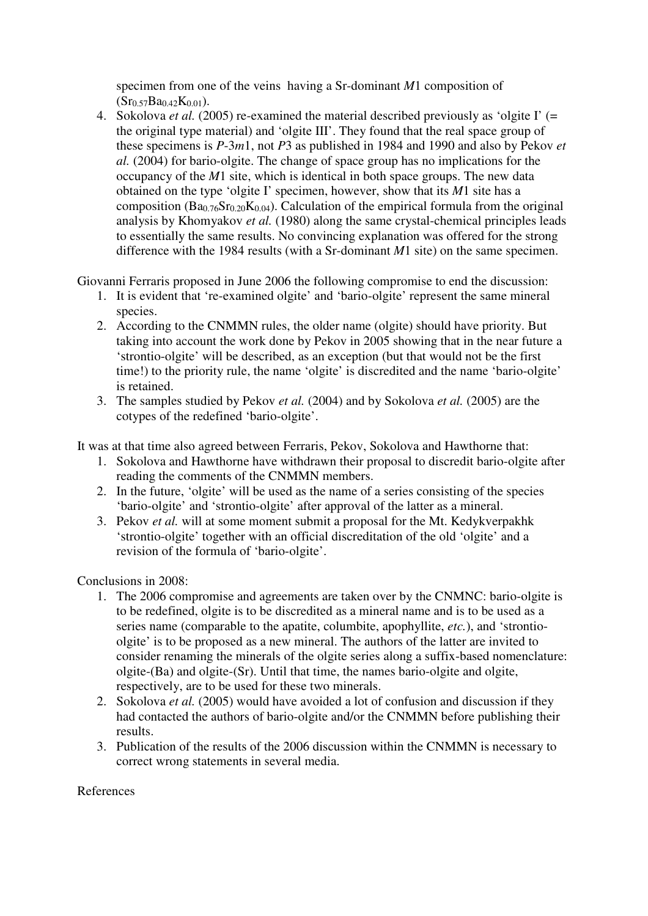specimen from one of the veins having a Sr-dominant *M*1 composition of  $(Sr_{0.57}Ba_{0.42}K_{0.01}).$ 

4. Sokolova *et al.* (2005) re-examined the material described previously as 'olgite I' (= the original type material) and 'olgite III'. They found that the real space group of these specimens is *P*-3*m*1, not *P*3 as published in 1984 and 1990 and also by Pekov *et al.* (2004) for bario-olgite. The change of space group has no implications for the occupancy of the *M*1 site, which is identical in both space groups. The new data obtained on the type 'olgite I' specimen, however, show that its *M*1 site has a composition ( $Ba_{0.76}Sr_{0.20}K_{0.04}$ ). Calculation of the empirical formula from the original analysis by Khomyakov *et al.* (1980) along the same crystal-chemical principles leads to essentially the same results. No convincing explanation was offered for the strong difference with the 1984 results (with a Sr-dominant *M*1 site) on the same specimen.

Giovanni Ferraris proposed in June 2006 the following compromise to end the discussion:

- 1. It is evident that 're-examined olgite' and 'bario-olgite' represent the same mineral species.
- 2. According to the CNMMN rules, the older name (olgite) should have priority. But taking into account the work done by Pekov in 2005 showing that in the near future a 'strontio-olgite' will be described, as an exception (but that would not be the first time!) to the priority rule, the name 'olgite' is discredited and the name 'bario-olgite' is retained.
- 3. The samples studied by Pekov *et al.* (2004) and by Sokolova *et al.* (2005) are the cotypes of the redefined 'bario-olgite'.

It was at that time also agreed between Ferraris, Pekov, Sokolova and Hawthorne that:

- 1. Sokolova and Hawthorne have withdrawn their proposal to discredit bario-olgite after reading the comments of the CNMMN members.
- 2. In the future, 'olgite' will be used as the name of a series consisting of the species 'bario-olgite' and 'strontio-olgite' after approval of the latter as a mineral.
- 3. Pekov *et al.* will at some moment submit a proposal for the Mt. Kedykverpakhk 'strontio-olgite' together with an official discreditation of the old 'olgite' and a revision of the formula of 'bario-olgite'.

Conclusions in 2008:

- 1. The 2006 compromise and agreements are taken over by the CNMNC: bario-olgite is to be redefined, olgite is to be discredited as a mineral name and is to be used as a series name (comparable to the apatite, columbite, apophyllite, *etc.*), and 'strontioolgite' is to be proposed as a new mineral. The authors of the latter are invited to consider renaming the minerals of the olgite series along a suffix-based nomenclature: olgite-(Ba) and olgite-(Sr). Until that time, the names bario-olgite and olgite, respectively, are to be used for these two minerals.
- 2. Sokolova *et al.* (2005) would have avoided a lot of confusion and discussion if they had contacted the authors of bario-olgite and/or the CNMMN before publishing their results.
- 3. Publication of the results of the 2006 discussion within the CNMMN is necessary to correct wrong statements in several media.

## References